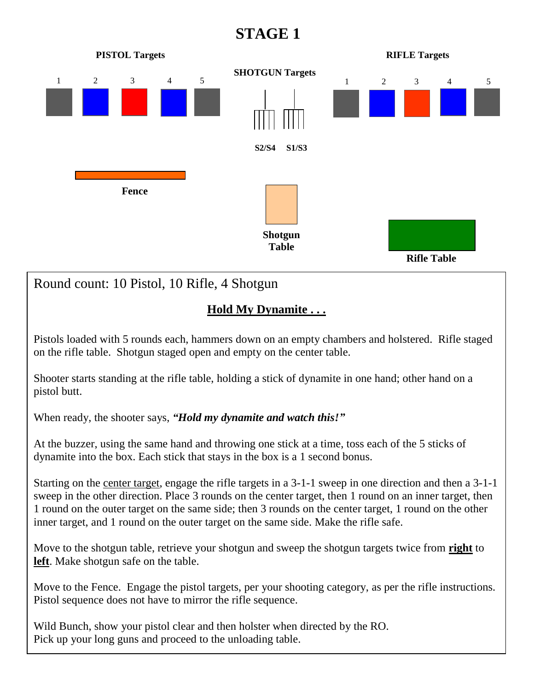

## **Hold My Dynamite . . .**

Pistols loaded with 5 rounds each, hammers down on an empty chambers and holstered. Rifle staged on the rifle table. Shotgun staged open and empty on the center table.

Shooter starts standing at the rifle table, holding a stick of dynamite in one hand; other hand on a pistol butt.

When ready, the shooter says, *"Hold my dynamite and watch this!"*

At the buzzer, using the same hand and throwing one stick at a time, toss each of the 5 sticks of dynamite into the box. Each stick that stays in the box is a 1 second bonus.

Starting on the center target, engage the rifle targets in a 3-1-1 sweep in one direction and then a 3-1-1 sweep in the other direction. Place 3 rounds on the center target, then 1 round on an inner target, then 1 round on the outer target on the same side; then 3 rounds on the center target, 1 round on the other inner target, and 1 round on the outer target on the same side. Make the rifle safe.

Move to the shotgun table, retrieve your shotgun and sweep the shotgun targets twice from **right** to **left**. Make shotgun safe on the table.

Move to the Fence. Engage the pistol targets, per your shooting category, as per the rifle instructions. Pistol sequence does not have to mirror the rifle sequence.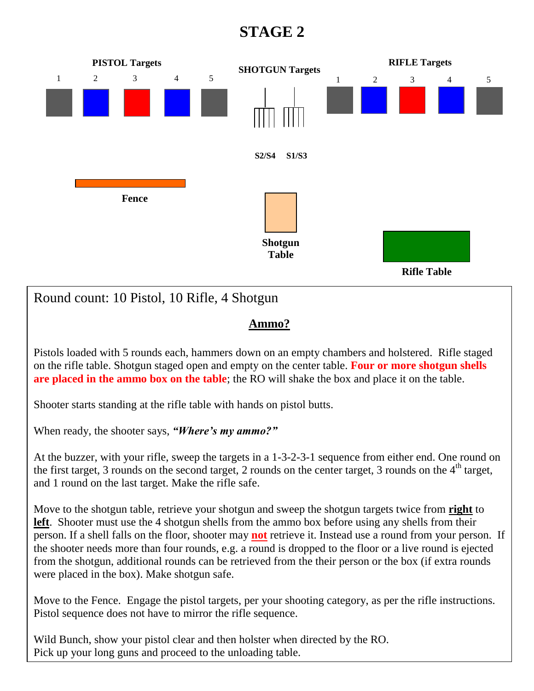

## **Ammo?**

Pistols loaded with 5 rounds each, hammers down on an empty chambers and holstered. Rifle staged on the rifle table. Shotgun staged open and empty on the center table. **Four or more shotgun shells are placed in the ammo box on the table**; the RO will shake the box and place it on the table.

Shooter starts standing at the rifle table with hands on pistol butts.

When ready, the shooter says, *"Where's my ammo?"*

At the buzzer, with your rifle, sweep the targets in a 1-3-2-3-1 sequence from either end. One round on the first target, 3 rounds on the second target, 2 rounds on the center target, 3 rounds on the  $4<sup>th</sup>$  target, and 1 round on the last target. Make the rifle safe.

Move to the shotgun table, retrieve your shotgun and sweep the shotgun targets twice from **right** to **left**. Shooter must use the 4 shotgun shells from the ammo box before using any shells from their person. If a shell falls on the floor, shooter may **not** retrieve it. Instead use a round from your person. If the shooter needs more than four rounds, e.g. a round is dropped to the floor or a live round is ejected from the shotgun, additional rounds can be retrieved from the their person or the box (if extra rounds were placed in the box). Make shotgun safe.

Move to the Fence. Engage the pistol targets, per your shooting category, as per the rifle instructions. Pistol sequence does not have to mirror the rifle sequence.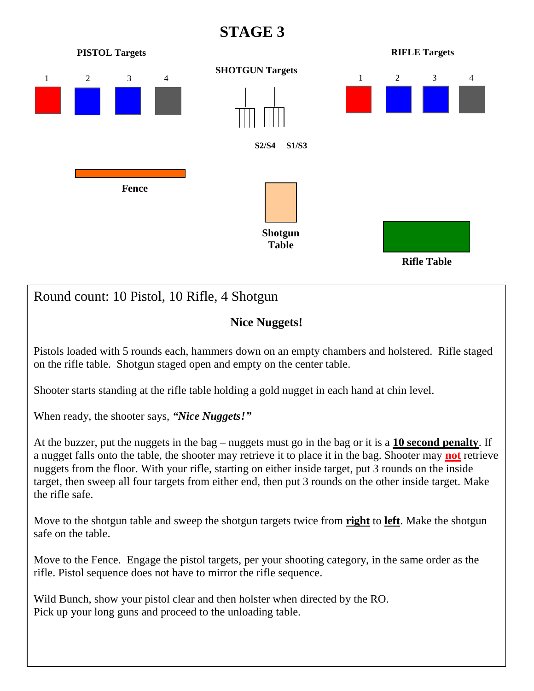

## Round count: 10 Pistol, 10 Rifle, 4 Shotgun

### **Nice Nuggets!**

Pistols loaded with 5 rounds each, hammers down on an empty chambers and holstered. Rifle staged on the rifle table. Shotgun staged open and empty on the center table.

Shooter starts standing at the rifle table holding a gold nugget in each hand at chin level.

When ready, the shooter says, *"Nice Nuggets!"*

At the buzzer, put the nuggets in the bag – nuggets must go in the bag or it is a **10 second penalty**. If a nugget falls onto the table, the shooter may retrieve it to place it in the bag. Shooter may **not** retrieve nuggets from the floor. With your rifle, starting on either inside target, put 3 rounds on the inside target, then sweep all four targets from either end, then put 3 rounds on the other inside target. Make the rifle safe.

Move to the shotgun table and sweep the shotgun targets twice from **right** to **left**. Make the shotgun safe on the table.

Move to the Fence. Engage the pistol targets, per your shooting category, in the same order as the rifle. Pistol sequence does not have to mirror the rifle sequence.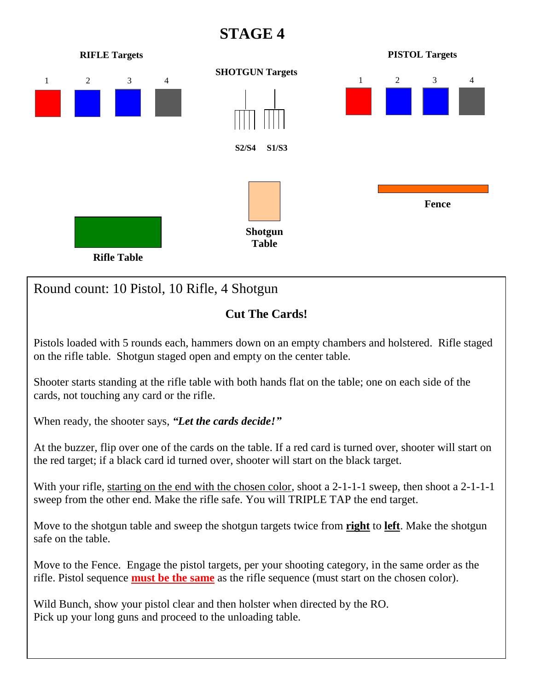

Move to the shotgun table and sweep the shotgun targets twice from **right** to **left**. Make the shotgun safe on the table.

Move to the Fence. Engage the pistol targets, per your shooting category, in the same order as the rifle. Pistol sequence **must be the same** as the rifle sequence (must start on the chosen color).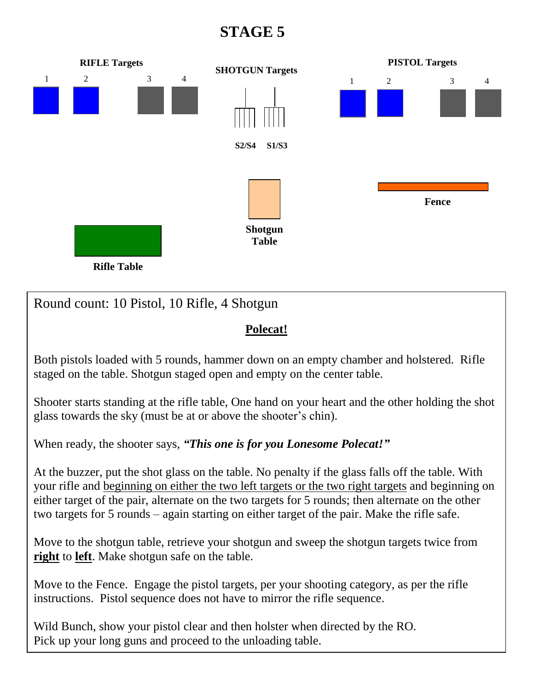

### **Polecat!**

Both pistols loaded with 5 rounds, hammer down on an empty chamber and holstered. Rifle staged on the table. Shotgun staged open and empty on the center table.

Shooter starts standing at the rifle table, One hand on your heart and the other holding the shot glass towards the sky (must be at or above the shooter's chin).

When ready, the shooter says, *"This one is for you Lonesome Polecat!"*

At the buzzer, put the shot glass on the table. No penalty if the glass falls off the table. With your rifle and beginning on either the two left targets or the two right targets and beginning on either target of the pair, alternate on the two targets for 5 rounds; then alternate on the other two targets for 5 rounds – again starting on either target of the pair. Make the rifle safe.

Move to the shotgun table, retrieve your shotgun and sweep the shotgun targets twice from **right** to **left**. Make shotgun safe on the table.

Move to the Fence. Engage the pistol targets, per your shooting category, as per the rifle instructions. Pistol sequence does not have to mirror the rifle sequence.